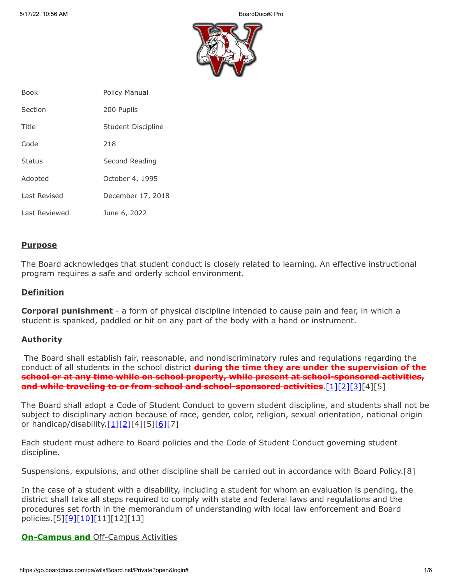

| <b>Book</b>   | <b>Policy Manual</b> |
|---------------|----------------------|
| Section       | 200 Pupils           |
| Title         | Student Discipline   |
| Code          | 218                  |
| <b>Status</b> | Second Reading       |
| Adopted       | October 4, 1995      |
| Last Revised  | December 17, 2018    |
| Last Reviewed | June 6, 2022         |

# **Purpose**

The Board acknowledges that student conduct is closely related to learning. An effective instructional program requires a safe and orderly school environment.

### **Definition**

**Corporal punishment** - a form of physical discipline intended to cause pain and fear, in which a student is spanked, paddled or hit on any part of the body with a hand or instrument.

# **Authority**

The Board shall establish fair, reasonable, and nondiscriminatory rules and regulations regarding the conduct of all students in the school district **during the time they are under the supervision of the school or at any time while on school property, while present at school-sponsored activities, and while traveling to or from school and school-sponsored activities**.[\[1\]](http://pacodeandbulletin.gov/Display/pacode?file=/secure/pacode/data/022/chapter12/s12.3.html&d=reduce)[\[2\]](http://pacodeandbulletin.gov/Display/pacode?file=/secure/pacode/data/022/chapter12/s12.4.html&d=reduce)[\[3\]](http://www.legis.state.pa.us/cfdocs/legis/LI/uconsCheck.cfm?txtType=HTM&yr=1949&sessInd=0&smthLwInd=0&act=14&chpt=5&sctn=10&subsctn=0)[4][5]

The Board shall adopt a Code of Student Conduct to govern student discipline, and students shall not be subject to disciplinary action because of race, gender, color, religion, sexual orientation, national origin or handicap/disability. $[1][2][4][5][6][7]$  $[1][2][4][5][6][7]$  $[1][2][4][5][6][7]$  $[1][2][4][5][6][7]$  $[1][2][4][5][6][7]$ 

Each student must adhere to Board policies and the Code of Student Conduct governing student discipline.

Suspensions, expulsions, and other discipline shall be carried out in accordance with Board Policy.[8]

In the case of a student with a disability, including a student for whom an evaluation is pending, the district shall take all steps required to comply with state and federal laws and regulations and the procedures set forth in the memorandum of understanding with local law enforcement and Board policies.[5]<u>[\[9\]](http://www.law.cornell.edu/uscode/text/20/chapter-33)[\[10\]\[](http://pacodeandbulletin.gov/Display/pacode?file=/secure/pacode/data/022/chapter10/s10.23.html&d=reduce)</u>11][12][13]

### **On-Campus and Off-Campus Activities**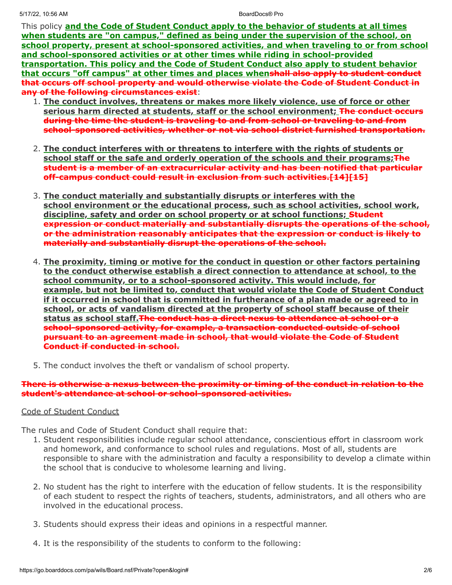This policy **and the Code of Student Conduct apply to the behavior of students at all times when students are "on campus," defined as being under the supervision of the school, on school property, present at school-sponsored activities, and when traveling to or from school and school-sponsored activities or at other times while riding in school-provided transportation. This policy and the Code of Student Conduct also apply to student behavior that occurs "off campus" at other times and places whenshall also apply to student conduct that occurs off school property and would otherwise violate the Code of Student Conduct in any of the following circumstances exist**:

- 1. **The conduct involves, threatens or makes more likely violence, use of force or other serious harm directed at students, staff or the school environment; The conduct occurs during the time the student is traveling to and from school or traveling to and from school-sponsored activities, whether or not via school district furnished transportation.**
- 2. **The conduct interferes with or threatens to interfere with the rights of students or** school staff or the safe and orderly operation of the schools and their programs; **The student is a member of an extracurricular activity and has been notified that particular off-campus conduct could result in exclusion from such activities.[14][15]**
- 3. **The conduct materially and substantially disrupts or interferes with the school environment or the educational process, such as school activities, school work, discipline, safety and order on school property or at school functions; Student expression or conduct materially and substantially disrupts the operations of the school, or the administration reasonably anticipates that the expression or conduct is likely to materially and substantially disrupt the operations of the school.**
- 4. **The proximity, timing or motive for the conduct in question or other factors pertaining to the conduct otherwise establish a direct connection to attendance at school, to the school community, or to a school-sponsored activity. This would include, for example, but not be limited to, conduct that would violate the Code of Student Conduct if it occurred in school that is committed in furtherance of a plan made or agreed to in school, or acts of vandalism directed at the property of school staff because of their status as school staff.The conduct has a direct nexus to attendance at school or a school-sponsored activity, for example, a transaction conducted outside of school pursuant to an agreement made in school, that would violate the Code of Student Conduct if conducted in school.**
- 5. The conduct involves the theft or vandalism of school property.

### **There is otherwise a nexus between the proximity or timing of the conduct in relation to the student's attendance at school or school-sponsored activities.**

# Code of Student Conduct

The rules and Code of Student Conduct shall require that:

- 1. Student responsibilities include regular school attendance, conscientious effort in classroom work and homework, and conformance to school rules and regulations. Most of all, students are responsible to share with the administration and faculty a responsibility to develop a climate within the school that is conducive to wholesome learning and living.
- 2. No student has the right to interfere with the education of fellow students. It is the responsibility of each student to respect the rights of teachers, students, administrators, and all others who are involved in the educational process.
- 3. Students should express their ideas and opinions in a respectful manner.
- 4. It is the responsibility of the students to conform to the following: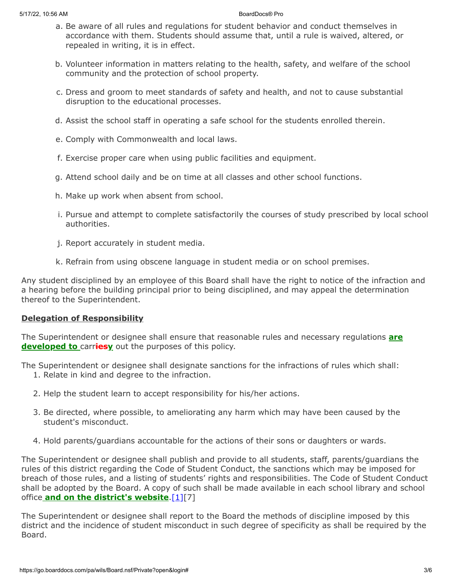- a. Be aware of all rules and regulations for student behavior and conduct themselves in accordance with them. Students should assume that, until a rule is waived, altered, or repealed in writing, it is in effect.
- b. Volunteer information in matters relating to the health, safety, and welfare of the school community and the protection of school property.
- c. Dress and groom to meet standards of safety and health, and not to cause substantial disruption to the educational processes.
- d. Assist the school staff in operating a safe school for the students enrolled therein.
- e. Comply with Commonwealth and local laws.
- f. Exercise proper care when using public facilities and equipment.
- g. Attend school daily and be on time at all classes and other school functions.
- h. Make up work when absent from school.
- i. Pursue and attempt to complete satisfactorily the courses of study prescribed by local school authorities.
- j. Report accurately in student media.
- k. Refrain from using obscene language in student media or on school premises.

Any student disciplined by an employee of this Board shall have the right to notice of the infraction and a hearing before the building principal prior to being disciplined, and may appeal the determination thereof to the Superintendent.

# **Delegation of Responsibility**

The Superintendent or designee shall ensure that reasonable rules and necessary regulations **are developed to** carr**iesy** out the purposes of this policy.

The Superintendent or designee shall designate sanctions for the infractions of rules which shall: 1. Relate in kind and degree to the infraction.

- 2. Help the student learn to accept responsibility for his/her actions.
- 3. Be directed, where possible, to ameliorating any harm which may have been caused by the student's misconduct.
- 4. Hold parents/guardians accountable for the actions of their sons or daughters or wards.

The Superintendent or designee shall publish and provide to all students, staff, parents/guardians the rules of this district regarding the Code of Student Conduct, the sanctions which may be imposed for breach of those rules, and a listing of students' rights and responsibilities. The Code of Student Conduct shall be adopted by the Board. A copy of such shall be made available in each school library and school office **and on the district's website**[.\[1\]\[](http://pacodeandbulletin.gov/Display/pacode?file=/secure/pacode/data/022/chapter12/s12.3.html&d=reduce)7]

The Superintendent or designee shall report to the Board the methods of discipline imposed by this district and the incidence of student misconduct in such degree of specificity as shall be required by the Board.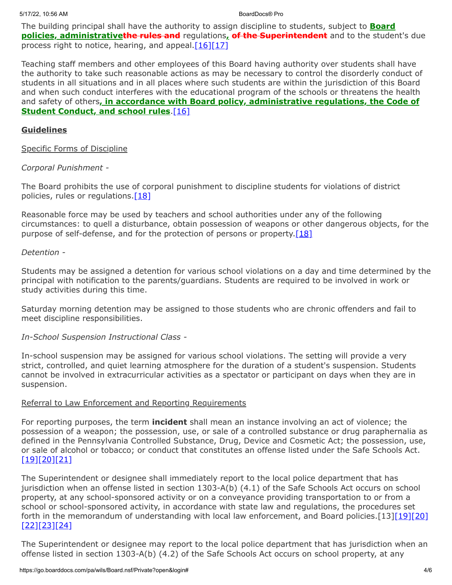The building principal shall have the authority to assign discipline to students, subject to **Board policies, administrativethe rules and** regulations**, of the Superintendent** and to the student's due process right to notice, hearing, and appeal. $[16][17]$  $[16][17]$ 

Teaching staff members and other employees of this Board having authority over students shall have the authority to take such reasonable actions as may be necessary to control the disorderly conduct of students in all situations and in all places where such students are within the jurisdiction of this Board and when such conduct interferes with the educational program of the schools or threatens the health and safety of others**, in accordance with Board policy, administrative regulations, the Code of Student Conduct, and school rules**[.\[16\]](http://www.legis.state.pa.us/cfdocs/legis/LI/uconsCheck.cfm?txtType=HTM&yr=1949&sessInd=0&smthLwInd=0&act=14&chpt=13&sctn=17&subsctn=0)

# **Guidelines**

# Specific Forms of Discipline

# *Corporal Punishment -*

The Board prohibits the use of corporal punishment to discipline students for violations of district policies, rules or regulations. $[18]$ 

Reasonable force may be used by teachers and school authorities under any of the following circumstances: to quell a disturbance, obtain possession of weapons or other dangerous objects, for the purpose of self-defense, and for the protection of persons or property. $[18]$ 

### *Detention -*

Students may be assigned a detention for various school violations on a day and time determined by the principal with notification to the parents/guardians. Students are required to be involved in work or study activities during this time.

Saturday morning detention may be assigned to those students who are chronic offenders and fail to meet discipline responsibilities.

*In-School Suspension Instructional Class -*

In-school suspension may be assigned for various school violations. The setting will provide a very strict, controlled, and quiet learning atmosphere for the duration of a student's suspension. Students cannot be involved in extracurricular activities as a spectator or participant on days when they are in suspension.

# Referral to Law Enforcement and Reporting Requirements

For reporting purposes, the term **incident** shall mean an instance involving an act of violence; the possession of a weapon; the possession, use, or sale of a controlled substance or drug paraphernalia as defined in the Pennsylvania Controlled Substance, Drug, Device and Cosmetic Act; the possession, use, or sale of alcohol or tobacco; or conduct that constitutes an offense listed under the Safe Schools Act. [\[19\]](http://pacodeandbulletin.gov/Display/pacode?file=/secure/pacode/data/022/chapter10/s10.2.html&d=reduce)[\[20\]](http://www.legis.state.pa.us/cfdocs/legis/LI/uconsCheck.cfm?txtType=HTM&yr=1949&sessInd=0&smthLwInd=0&act=14&chpt=13A&sctn=3&subsctn=0)[\[21\]](http://www.legis.state.pa.us/cfdocs/legis/LI/uconsCheck.cfm?txtType=HTM&yr=1972&sessInd=0&smthLwInd=0&act=64&chpt=0&sctn=2&subsctn=0)

The Superintendent or designee shall immediately report to the local police department that has jurisdiction when an offense listed in section 1303-A(b) (4.1) of the Safe Schools Act occurs on school property, at any school-sponsored activity or on a conveyance providing transportation to or from a school or school-sponsored activity, in accordance with state law and regulations, the procedures set forth in the memorandum of understanding with local law enforcement, and Board policies.[13[\]\[19\]](http://pacodeandbulletin.gov/Display/pacode?file=/secure/pacode/data/022/chapter10/s10.2.html&d=reduce)[\[20\]](http://www.legis.state.pa.us/cfdocs/legis/LI/uconsCheck.cfm?txtType=HTM&yr=1949&sessInd=0&smthLwInd=0&act=14&chpt=13A&sctn=3&subsctn=0) [\[22\]](http://pacodeandbulletin.gov/Display/pacode?file=/secure/pacode/data/022/chapter10/s10.21.html&d=reduce)[\[23\]](http://pacodeandbulletin.gov/Display/pacode?file=/secure/pacode/data/022/chapter10/s10.22.html&d=reduce)[\[24\]](http://www.legis.state.pa.us/cfdocs/legis/LI/uconsCheck.cfm?txtType=HTM&yr=1949&sessInd=0&smthLwInd=0&act=14&chpt=13A&sctn=2&subsctn=1)

The Superintendent or designee may report to the local police department that has jurisdiction when an offense listed in section 1303-A(b) (4.2) of the Safe Schools Act occurs on school property, at any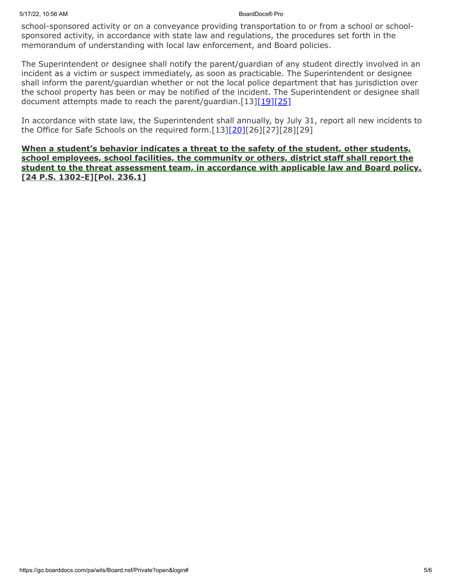### 5/17/22, 10:56 AM BoardDocs® Pro

school-sponsored activity or on a conveyance providing transportation to or from a school or schoolsponsored activity, in accordance with state law and regulations, the procedures set forth in the memorandum of understanding with local law enforcement, and Board policies.

The Superintendent or designee shall notify the parent/guardian of any student directly involved in an incident as a victim or suspect immediately, as soon as practicable. The Superintendent or designee shall inform the parent/guardian whether or not the local police department that has jurisdiction over the school property has been or may be notified of the incident. The Superintendent or designee shall document attempts made to reach the parent/guardian. $[13][19][25]$  $[13][19][25]$  $[13][19][25]$ 

In accordance with state law, the Superintendent shall annually, by July 31, report all new incidents to the Office for Safe Schools on the required form. $[13][20][26][27][28][29]$  $[13][20][26][27][28][29]$  $[13][20][26][27][28][29]$ 

**When a student's behavior indicates a threat to the safety of the student, other students, school employees, school facilities, the community or others, district staff shall report the student to the threat assessment team, in accordance with applicable law and Board policy. [24 P.S. 1302-E][Pol. 236.1]**